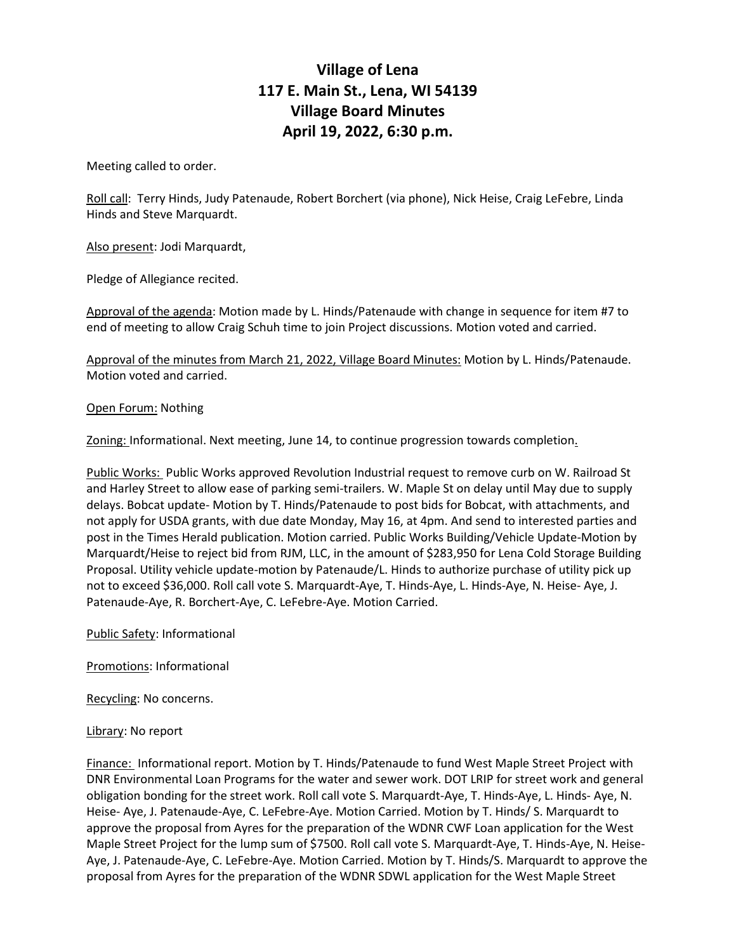## **Village of Lena 117 E. Main St., Lena, WI 54139 Village Board Minutes April 19, 2022, 6:30 p.m.**

Meeting called to order.

Roll call: Terry Hinds, Judy Patenaude, Robert Borchert (via phone), Nick Heise, Craig LeFebre, Linda Hinds and Steve Marquardt.

Also present: Jodi Marquardt,

Pledge of Allegiance recited.

Approval of the agenda: Motion made by L. Hinds/Patenaude with change in sequence for item #7 to end of meeting to allow Craig Schuh time to join Project discussions. Motion voted and carried.

Approval of the minutes from March 21, 2022, Village Board Minutes: Motion by L. Hinds/Patenaude. Motion voted and carried.

## Open Forum: Nothing

Zoning: Informational. Next meeting, June 14, to continue progression towards completion.

Public Works: Public Works approved Revolution Industrial request to remove curb on W. Railroad St and Harley Street to allow ease of parking semi-trailers. W. Maple St on delay until May due to supply delays. Bobcat update- Motion by T. Hinds/Patenaude to post bids for Bobcat, with attachments, and not apply for USDA grants, with due date Monday, May 16, at 4pm. And send to interested parties and post in the Times Herald publication. Motion carried. Public Works Building/Vehicle Update-Motion by Marquardt/Heise to reject bid from RJM, LLC, in the amount of \$283,950 for Lena Cold Storage Building Proposal. Utility vehicle update-motion by Patenaude/L. Hinds to authorize purchase of utility pick up not to exceed \$36,000. Roll call vote S. Marquardt-Aye, T. Hinds-Aye, L. Hinds-Aye, N. Heise- Aye, J. Patenaude-Aye, R. Borchert-Aye, C. LeFebre-Aye. Motion Carried.

Public Safety: Informational

Promotions: Informational

Recycling: No concerns.

## Library: No report

Finance: Informational report. Motion by T. Hinds/Patenaude to fund West Maple Street Project with DNR Environmental Loan Programs for the water and sewer work. DOT LRIP for street work and general obligation bonding for the street work. Roll call vote S. Marquardt-Aye, T. Hinds-Aye, L. Hinds- Aye, N. Heise- Aye, J. Patenaude-Aye, C. LeFebre-Aye. Motion Carried. Motion by T. Hinds/ S. Marquardt to approve the proposal from Ayres for the preparation of the WDNR CWF Loan application for the West Maple Street Project for the lump sum of \$7500. Roll call vote S. Marquardt-Aye, T. Hinds-Aye, N. Heise-Aye, J. Patenaude-Aye, C. LeFebre-Aye. Motion Carried. Motion by T. Hinds/S. Marquardt to approve the proposal from Ayres for the preparation of the WDNR SDWL application for the West Maple Street